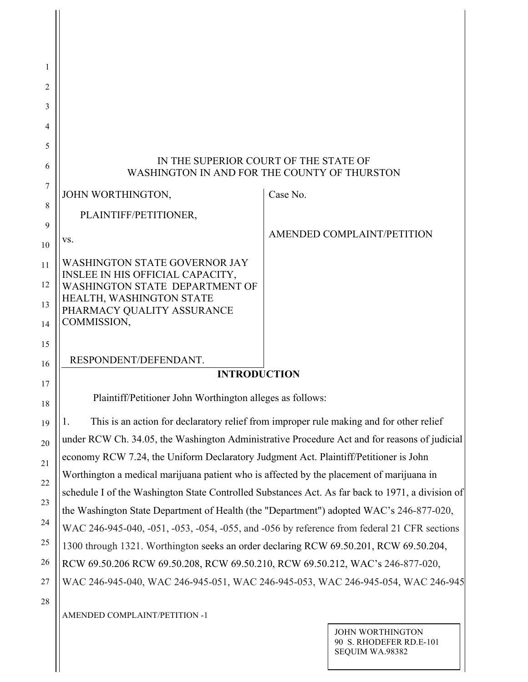| 1  |                                                                                              |                                                                                                  |  |  |  |
|----|----------------------------------------------------------------------------------------------|--------------------------------------------------------------------------------------------------|--|--|--|
| 2  |                                                                                              |                                                                                                  |  |  |  |
| 3  |                                                                                              |                                                                                                  |  |  |  |
| 4  |                                                                                              |                                                                                                  |  |  |  |
| 5  |                                                                                              | IN THE SUPERIOR COURT OF THE STATE OF                                                            |  |  |  |
| 6  | WASHINGTON IN AND FOR THE COUNTY OF THURSTON                                                 |                                                                                                  |  |  |  |
| 7  | JOHN WORTHINGTON,                                                                            | Case No.                                                                                         |  |  |  |
| 8  | PLAINTIFF/PETITIONER,                                                                        |                                                                                                  |  |  |  |
| 9  | VS.                                                                                          | AMENDED COMPLAINT/PETITION                                                                       |  |  |  |
| 10 |                                                                                              |                                                                                                  |  |  |  |
| 11 | <b>WASHINGTON STATE GOVERNOR JAY</b><br>INSLEE IN HIS OFFICIAL CAPACITY,                     |                                                                                                  |  |  |  |
| 12 | WASHINGTON STATE DEPARTMENT OF<br>HEALTH, WASHINGTON STATE                                   |                                                                                                  |  |  |  |
| 13 | PHARMACY QUALITY ASSURANCE                                                                   |                                                                                                  |  |  |  |
| 14 | COMMISSION,                                                                                  |                                                                                                  |  |  |  |
| 15 |                                                                                              |                                                                                                  |  |  |  |
| 16 | RESPONDENT/DEFENDANT.<br><b>INTRODUCTION</b>                                                 |                                                                                                  |  |  |  |
| 17 |                                                                                              |                                                                                                  |  |  |  |
| 18 | Plaintiff/Petitioner John Worthington alleges as follows:                                    |                                                                                                  |  |  |  |
| 19 | 1.                                                                                           | This is an action for declaratory relief from improper rule making and for other relief          |  |  |  |
| 20 | under RCW Ch. 34.05, the Washington Administrative Procedure Act and for reasons of judicial |                                                                                                  |  |  |  |
| 21 | economy RCW 7.24, the Uniform Declaratory Judgment Act. Plaintiff/Petitioner is John         |                                                                                                  |  |  |  |
| 22 | Worthington a medical marijuana patient who is affected by the placement of marijuana in     |                                                                                                  |  |  |  |
| 23 | the Washington State Department of Health (the "Department") adopted WAC's 246-877-020,      | schedule I of the Washington State Controlled Substances Act. As far back to 1971, a division of |  |  |  |
| 24 | WAC 246-945-040, -051, -053, -054, -055, and -056 by reference from federal 21 CFR sections  |                                                                                                  |  |  |  |
| 25 | 1300 through 1321. Worthington seeks an order declaring RCW 69.50.201, RCW 69.50.204,        |                                                                                                  |  |  |  |
| 26 | RCW 69.50.206 RCW 69.50.208, RCW 69.50.210, RCW 69.50.212, WAC's 246-877-020,                |                                                                                                  |  |  |  |
| 27 |                                                                                              | WAC 246-945-040, WAC 246-945-051, WAC 246-945-053, WAC 246-945-054, WAC 246-945                  |  |  |  |
| 28 |                                                                                              |                                                                                                  |  |  |  |
|    | AMENDED COMPLAINT/PETITION -1                                                                |                                                                                                  |  |  |  |

JOHN WORTHINGTON 90 S. RHODEFER RD.E-101 SEQUIM WA.98382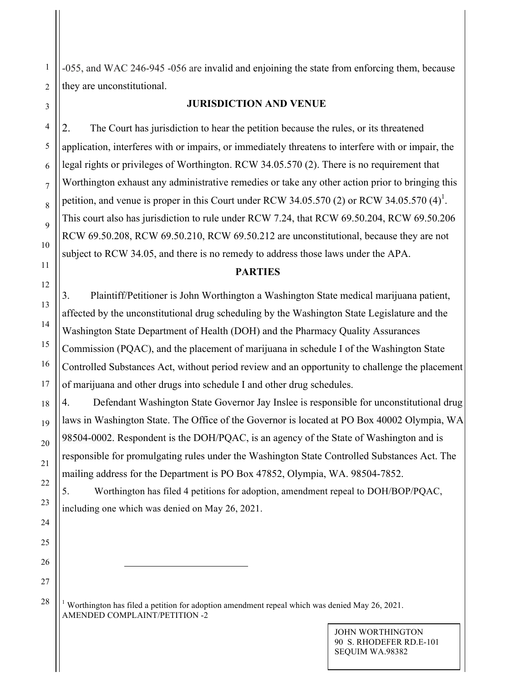-055, and WAC 246-945 -056 are invalid and enjoining the state from enforcing them, because they are unconstitutional.

#### **JURISDICTION AND VENUE**

2. The Court has jurisdiction to hear the petition because the rules, or its threatened application, interferes with or impairs, or immediately threatens to interfere with or impair, the legal rights or privileges of Worthington. RCW 34.05.570 (2). There is no requirement that Worthington exhaust any administrative remedies or take any other action prior to bringing this petition, and venue is proper in this Court under RCW 34.05.570 (2) or RCW 34.05.570  $(4)^1$ . This court also has jurisdiction to rule under RCW 7.24, that RCW 69.50.204, RCW 69.50.206 RCW 69.50.208, RCW 69.50.210, RCW 69.50.212 are unconstitutional, because they are not subject to RCW 34.05, and there is no remedy to address those laws under the APA.

#### **PARTIES**

3. Plaintiff/Petitioner is John Worthington a Washington State medical marijuana patient, affected by the unconstitutional drug scheduling by the Washington State Legislature and the Washington State Department of Health (DOH) and the Pharmacy Quality Assurances Commission (PQAC), and the placement of marijuana in schedule I of the Washington State Controlled Substances Act, without period review and an opportunity to challenge the placement of marijuana and other drugs into schedule I and other drug schedules.

4. Defendant Washington State Governor Jay Inslee is responsible for unconstitutional drug laws in Washington State. The Office of the Governor is located at PO Box 40002 Olympia, WA 98504-0002. Respondent is the DOH/PQAC, is an agency of the State of Washington and is responsible for promulgating rules under the Washington State Controlled Substances Act. The mailing address for the Department is PO Box 47852, Olympia, WA. 98504-7852.

5. Worthington has filed 4 petitions for adoption, amendment repeal to DOH/BOP/PQAC, including one which was denied on May 26, 2021.

AMENDED COMPLAINT/PETITION -2 <sup>1</sup> Worthington has filed a petition for adoption amendment repeal which was denied May 26, 2021.

 $\overline{a}$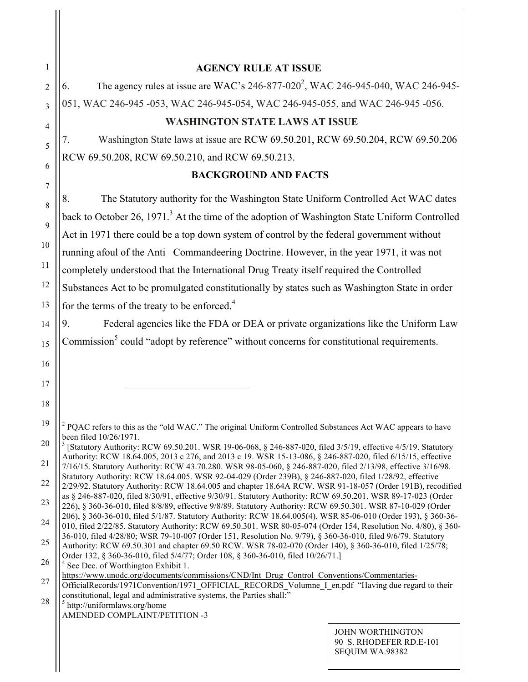| 1              | <b>AGENCY RULE AT ISSUE</b>                                                                                                                                                                                                              |                                                                |  |  |  |
|----------------|------------------------------------------------------------------------------------------------------------------------------------------------------------------------------------------------------------------------------------------|----------------------------------------------------------------|--|--|--|
| $\overline{2}$ | The agency rules at issue are WAC's 246-877-020 <sup>2</sup> , WAC 246-945-040, WAC 246-945-<br>6.                                                                                                                                       |                                                                |  |  |  |
| $\overline{3}$ | 051, WAC 246-945 -053, WAC 246-945-054, WAC 246-945-055, and WAC 246-945 -056.                                                                                                                                                           |                                                                |  |  |  |
| $\overline{4}$ | <b>WASHINGTON STATE LAWS AT ISSUE</b>                                                                                                                                                                                                    |                                                                |  |  |  |
| 5              | Washington State laws at issue are RCW 69.50.201, RCW 69.50.204, RCW 69.50.206<br>7.                                                                                                                                                     |                                                                |  |  |  |
| 6              | RCW 69.50.208, RCW 69.50.210, and RCW 69.50.213.                                                                                                                                                                                         |                                                                |  |  |  |
|                | <b>BACKGROUND AND FACTS</b>                                                                                                                                                                                                              |                                                                |  |  |  |
| 7              | The Statutory authority for the Washington State Uniform Controlled Act WAC dates<br>8.                                                                                                                                                  |                                                                |  |  |  |
| 8              | back to October 26, 1971. <sup>3</sup> At the time of the adoption of Washington State Uniform Controlled                                                                                                                                |                                                                |  |  |  |
| 9              | Act in 1971 there could be a top down system of control by the federal government without                                                                                                                                                |                                                                |  |  |  |
| 10             | running afoul of the Anti-Commandeering Doctrine. However, in the year 1971, it was not                                                                                                                                                  |                                                                |  |  |  |
| 11             | completely understood that the International Drug Treaty itself required the Controlled                                                                                                                                                  |                                                                |  |  |  |
| 12             | Substances Act to be promulgated constitutionally by states such as Washington State in order                                                                                                                                            |                                                                |  |  |  |
| 13             | for the terms of the treaty to be enforced. <sup>4</sup>                                                                                                                                                                                 |                                                                |  |  |  |
| 14             | Federal agencies like the FDA or DEA or private organizations like the Uniform Law<br>9.                                                                                                                                                 |                                                                |  |  |  |
| 15             | Commission <sup>5</sup> could "adopt by reference" without concerns for constitutional requirements.                                                                                                                                     |                                                                |  |  |  |
| 16             |                                                                                                                                                                                                                                          |                                                                |  |  |  |
| 17             |                                                                                                                                                                                                                                          |                                                                |  |  |  |
| 18             |                                                                                                                                                                                                                                          |                                                                |  |  |  |
| 19             |                                                                                                                                                                                                                                          |                                                                |  |  |  |
|                | <sup>2</sup> PQAC refers to this as the "old WAC." The original Uniform Controlled Substances Act WAC appears to have<br>been filed 10/26/1971.                                                                                          |                                                                |  |  |  |
| 20             | <sup>3</sup> [Statutory Authority: RCW 69.50.201. WSR 19-06-068, § 246-887-020, filed 3/5/19, effective 4/5/19. Statutory<br>Authority: RCW 18.64.005, 2013 c 276, and 2013 c 19. WSR 15-13-086, § 246-887-020, filed 6/15/15, effective |                                                                |  |  |  |
| 21             | 7/16/15. Statutory Authority: RCW 43.70.280. WSR 98-05-060, § 246-887-020, filed 2/13/98, effective 3/16/98.<br>Statutory Authority: RCW 18.64.005. WSR 92-04-029 (Order 239B), § 246-887-020, filed 1/28/92, effective                  |                                                                |  |  |  |
| 22             | 2/29/92. Statutory Authority: RCW 18.64.005 and chapter 18.64A RCW. WSR 91-18-057 (Order 191B), recodified<br>as § 246-887-020, filed 8/30/91, effective 9/30/91. Statutory Authority: RCW 69.50.201. WSR 89-17-023 (Order               |                                                                |  |  |  |
| 23             | 226), § 360-36-010, filed 8/8/89, effective 9/8/89. Statutory Authority: RCW 69.50.301. WSR 87-10-029 (Order                                                                                                                             |                                                                |  |  |  |
| 24             | 206), § 360-36-010, filed 5/1/87. Statutory Authority: RCW 18.64.005(4). WSR 85-06-010 (Order 193), § 360-36-<br>010, filed 2/22/85. Statutory Authority: RCW 69.50.301. WSR 80-05-074 (Order 154, Resolution No. 4/80), § 360-          |                                                                |  |  |  |
| 25             | 36-010, filed 4/28/80; WSR 79-10-007 (Order 151, Resolution No. 9/79), § 360-36-010, filed 9/6/79. Statutory<br>Authority: RCW 69.50.301 and chapter 69.50 RCW. WSR 78-02-070 (Order 140), § 360-36-010, filed 1/25/78;                  |                                                                |  |  |  |
| 26             | Order 132, § 360-36-010, filed 5/4/77; Order 108, § 360-36-010, filed 10/26/71.]<br>See Dec. of Worthington Exhibit 1.                                                                                                                   |                                                                |  |  |  |
| 27             | https://www.unodc.org/documents/commissions/CND/Int_Drug_Control_Conventions/Commentaries-<br>OfficialRecords/1971Convention/1971 OFFICIAL RECORDS Volumne I en.pdf "Having due regard to their                                          |                                                                |  |  |  |
| 28             | constitutional, legal and administrative systems, the Parties shall:"<br>$5$ http://uniformlaws.org/home                                                                                                                                 |                                                                |  |  |  |
|                | AMENDED COMPLAINT/PETITION -3                                                                                                                                                                                                            |                                                                |  |  |  |
|                |                                                                                                                                                                                                                                          | JOHN WORTHINGTON<br>90 S. RHODEFER RD.E-101<br>SEQUIM WA.98382 |  |  |  |

 $\frac{1}{2}$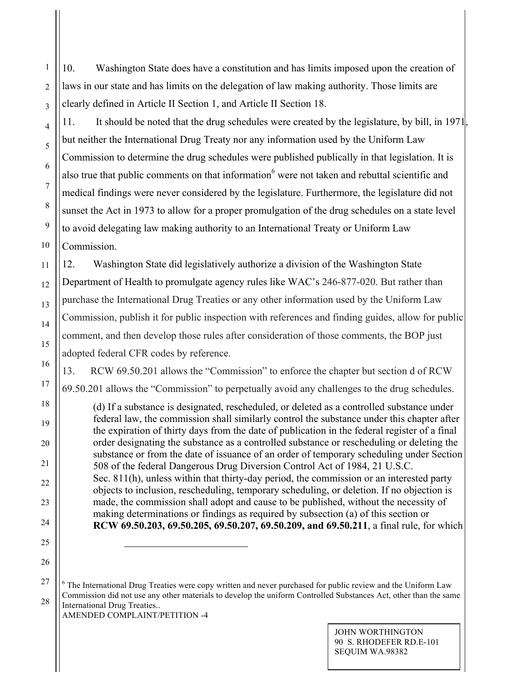10. Washington State does have a constitution and has limits imposed upon the creation of laws in our state and has limits on the delegation of law making authority. Those limits are clearly defined in Article II Section 1, and Article II Section 18.

11. It should be noted that the drug schedules were created by the legislature, by bill, in 1971, but neither the International Drug Treaty nor any information used by the Uniform Law Commission to determine the drug schedules were published publically in that legislation. It is also true that public comments on that information<sup>6</sup> were not taken and rebuttal scientific and medical findings were never considered by the legislature. Furthermore, the legislature did not sunset the Act in 1973 to allow for a proper promulgation of the drug schedules on a state level to avoid delegating law making authority to an International Treaty or Uniform Law Commission.

12. Washington State did legislatively authorize a division of the Washington State Department of Health to promulgate agency rules like WAC's 246-877-020. But rather than purchase the International Drug Treaties or any other information used by the Uniform Law Commission, publish it for public inspection with references and finding guides, allow for public comment, and then develop those rules after consideration of those comments, the BOP just adopted federal CFR codes by reference.

13. RCW 69.50.201 allows the "Commission" to enforce the chapter but section d of RCW 69.50.201 allows the "Commission" to perpetually avoid any challenges to the drug schedules.

(d) If a substance is designated, rescheduled, or deleted as a controlled substance under federal law, the commission shall similarly control the substance under this chapter after the expiration of thirty days from the date of publication in the federal register of a final order designating the substance as a controlled substance or rescheduling or deleting the substance or from the date of issuance of an order of temporary scheduling under Section 508 of the federal Dangerous Drug Diversion Control Act of 1984, 21 U.S.C. Sec. 811(h), unless within that thirty-day period, the commission or an interested party objects to inclusion, rescheduling, temporary scheduling, or deletion. If no objection is made, the commission shall adopt and cause to be published, without the necessity of making determinations or findings as required by subsection (a) of this section or **RCW 69.50.203, 69.50.205, 69.50.207, 69.50.209, and 69.50.211**, a final rule, for which

27 28 AMENDED COMPLAINT/PETITION -4 <sup>6</sup> The International Drug Treaties were copy written and never purchased for public review and the Uniform Law Commission did not use any other materials to develop the uniform Controlled Substances Act, other than the same International Drug Treaties..

> JOHN WORTHINGTON 90 S. RHODEFER RD.E-101 SEQUIM WA.98382

 $\overline{a}$ 

1

2

3

4

5

6

7

8

9

10

11

12

13

14

15

16

17

18

19

20

21

22

23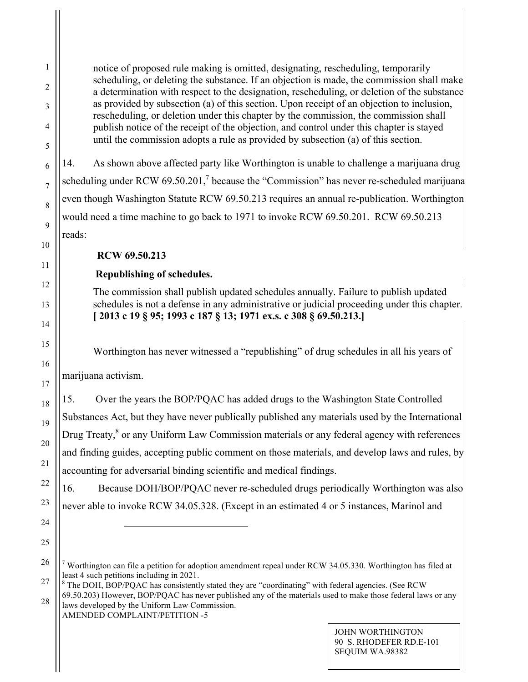notice of proposed rule making is omitted, designating, rescheduling, temporarily scheduling, or deleting the substance. If an objection is made, the commission shall make a determination with respect to the designation, rescheduling, or deletion of the substance as provided by subsection (a) of this section. Upon receipt of an objection to inclusion, rescheduling, or deletion under this chapter by the commission, the commission shall publish notice of the receipt of the objection, and control under this chapter is stayed until the commission adopts a rule as provided by subsection (a) of this section.

14. As shown above affected party like Worthington is unable to challenge a marijuana drug scheduling under RCW 69.50.201,<sup>7</sup> because the "Commission" has never re-scheduled marijuana even though Washington Statute RCW 69.50.213 requires an annual re-publication. Worthington would need a time machine to go back to 1971 to invoke RCW 69.50.201. RCW 69.50.213 reads:

## **RCW 69.50.213**

# **Republishing of schedules.**

The commission shall publish updated schedules annually. Failure to publish updated schedules is not a defense in any administrative or judicial proceeding under this chapter. **[ 2013 c 19 § 95; 1993 c 187 § 13; 1971 ex.s. c 308 § 69.50.213.]**

Worthington has never witnessed a "republishing" of drug schedules in all his years of

marijuana activism.

15. Over the years the BOP/PQAC has added drugs to the Washington State Controlled Substances Act, but they have never publically published any materials used by the International Drug Treaty,<sup>8</sup> or any Uniform Law Commission materials or any federal agency with references and finding guides, accepting public comment on those materials, and develop laws and rules, by accounting for adversarial binding scientific and medical findings.

16. Because DOH/BOP/PQAC never re-scheduled drugs periodically Worthington was also never able to invoke RCW 34.05.328. (Except in an estimated 4 or 5 instances, Marinol and

AMENDED COMPLAINT/PETITION -5 laws developed by the Uniform Law Commission.

 $\overline{a}$ 

<sup>&</sup>lt;sup>7</sup> Worthington can file a petition for adoption amendment repeal under RCW 34.05.330. Worthington has filed at least 4 such petitions including in 2021.

 $8$  The DOH, BOP/PQAC has consistently stated they are "coordinating" with federal agencies. (See RCW 69.50.203) However, BOP/PQAC has never published any of the materials used to make those federal laws or any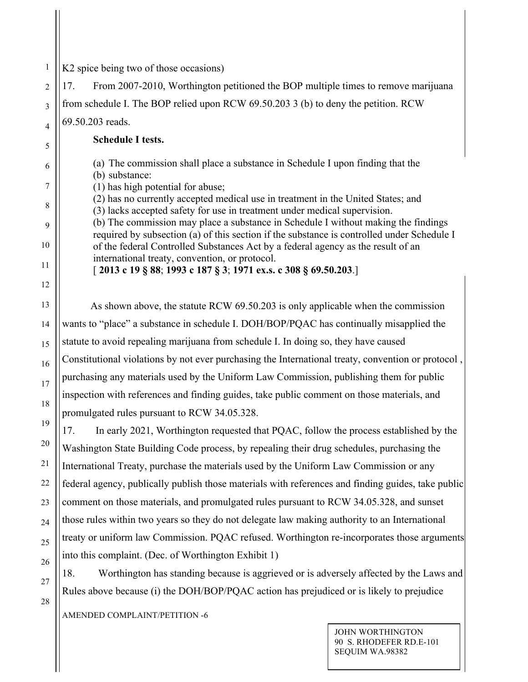K2 spice being two of those occasions)

17. From 2007-2010, Worthington petitioned the BOP multiple times to remove marijuana from schedule I. The BOP relied upon RCW 69.50.203 3 (b) to deny the petition. RCW 69.50.203 reads.

 **Schedule I tests.**

(a) The commission shall place a substance in Schedule I upon finding that the (b) substance:

(1) has high potential for abuse;

(2) has no currently accepted medical use in treatment in the United States; and (3) lacks accepted safety for use in treatment under medical supervision. (b) The commission may place a substance in Schedule I without making the findings

required by subsection (a) of this section if the substance is controlled under Schedule I of the federal Controlled Substances Act by a federal agency as the result of an international treaty, convention, or protocol.

[ **2013 c 19 § 88**; **1993 c 187 § 3**; **1971 ex.s. c 308 § 69.50.203**.]

 As shown above, the statute RCW 69.50.203 is only applicable when the commission wants to "place" a substance in schedule I. DOH/BOP/PQAC has continually misapplied the statute to avoid repealing marijuana from schedule I. In doing so, they have caused Constitutional violations by not ever purchasing the International treaty, convention or protocol , purchasing any materials used by the Uniform Law Commission, publishing them for public inspection with references and finding guides, take public comment on those materials, and promulgated rules pursuant to RCW 34.05.328.

17. In early 2021, Worthington requested that PQAC, follow the process established by the Washington State Building Code process, by repealing their drug schedules, purchasing the International Treaty, purchase the materials used by the Uniform Law Commission or any federal agency, publically publish those materials with references and finding guides, take public comment on those materials, and promulgated rules pursuant to RCW 34.05.328, and sunset those rules within two years so they do not delegate law making authority to an International treaty or uniform law Commission. PQAC refused. Worthington re-incorporates those arguments into this complaint. (Dec. of Worthington Exhibit 1)

18. Worthington has standing because is aggrieved or is adversely affected by the Laws and Rules above because (i) the DOH/BOP/PQAC action has prejudiced or is likely to prejudice

AMENDED COMPLAINT/PETITION -6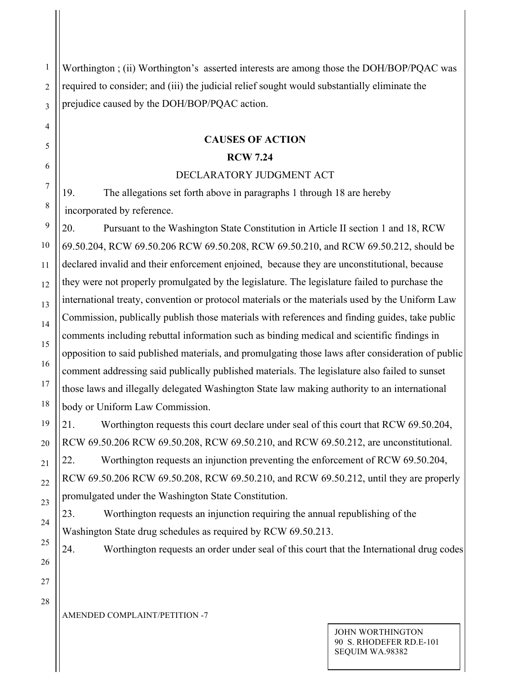1 2 3 Worthington ; (ii) Worthington's asserted interests are among those the DOH/BOP/PQAC was required to consider; and (iii) the judicial relief sought would substantially eliminate the prejudice caused by the DOH/BOP/PQAC action.

# **CAUSES OF ACTION**

## **RCW 7.24**

## DECLARATORY JUDGMENT ACT

19. The allegations set forth above in paragraphs 1 through 18 are hereby incorporated by reference.

20. Pursuant to the Washington State Constitution in Article II section 1 and 18, RCW 69.50.204, RCW 69.50.206 RCW 69.50.208, RCW 69.50.210, and RCW 69.50.212, should be declared invalid and their enforcement enjoined, because they are unconstitutional, because they were not properly promulgated by the legislature. The legislature failed to purchase the international treaty, convention or protocol materials or the materials used by the Uniform Law Commission, publically publish those materials with references and finding guides, take public comments including rebuttal information such as binding medical and scientific findings in opposition to said published materials, and promulgating those laws after consideration of public comment addressing said publically published materials. The legislature also failed to sunset those laws and illegally delegated Washington State law making authority to an international body or Uniform Law Commission.

21. Worthington requests this court declare under seal of this court that RCW 69.50.204, RCW 69.50.206 RCW 69.50.208, RCW 69.50.210, and RCW 69.50.212, are unconstitutional.

22. Worthington requests an injunction preventing the enforcement of RCW 69.50.204, RCW 69.50.206 RCW 69.50.208, RCW 69.50.210, and RCW 69.50.212, until they are properly promulgated under the Washington State Constitution.

24. Worthington requests an order under seal of this court that the International drug codes

23. Worthington requests an injunction requiring the annual republishing of the Washington State drug schedules as required by RCW 69.50.213.

25 26

4

5

6

7

8

9

10

11

12

13

14

15

16

17

18

19

20

21

22

23

24

28

27

AMENDED COMPLAINT/PETITION -7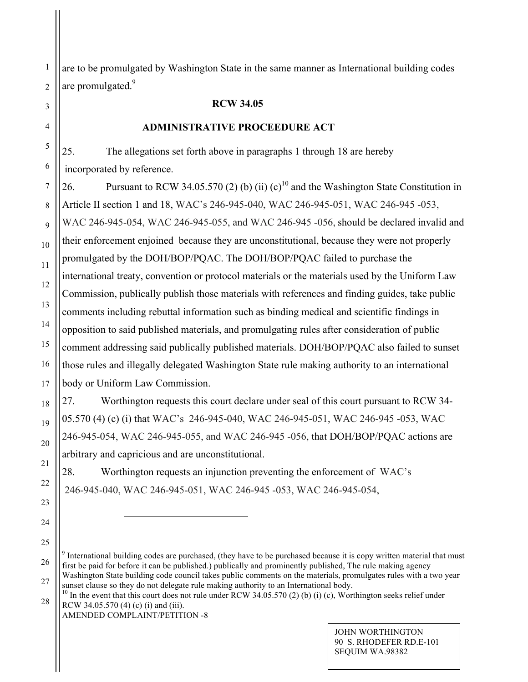are to be promulgated by Washington State in the same manner as International building codes are promulgated.<sup>9</sup>

#### **RCW 34.05**

#### **ADMINISTRATIVE PROCEEDURE ACT**

25. The allegations set forth above in paragraphs 1 through 18 are hereby incorporated by reference.

26. Pursuant to RCW 34.05.570 (2) (b) (ii)  $(c)^{10}$  and the Washington State Constitution in Article II section 1 and 18, WAC's 246-945-040, WAC 246-945-051, WAC 246-945 -053, WAC 246-945-054, WAC 246-945-055, and WAC 246-945 -056, should be declared invalid and their enforcement enjoined because they are unconstitutional, because they were not properly promulgated by the DOH/BOP/PQAC. The DOH/BOP/PQAC failed to purchase the international treaty, convention or protocol materials or the materials used by the Uniform Law Commission, publically publish those materials with references and finding guides, take public comments including rebuttal information such as binding medical and scientific findings in opposition to said published materials, and promulgating rules after consideration of public comment addressing said publically published materials. DOH/BOP/PQAC also failed to sunset those rules and illegally delegated Washington State rule making authority to an international body or Uniform Law Commission.

27. Worthington requests this court declare under seal of this court pursuant to RCW 34- 05.570 (4) (c) (i) that WAC's 246-945-040, WAC 246-945-051, WAC 246-945 -053, WAC 246-945-054, WAC 246-945-055, and WAC 246-945 -056, that DOH/BOP/PQAC actions are arbitrary and capricious and are unconstitutional.

28. Worthington requests an injunction preventing the enforcement of WAC's 246-945-040, WAC 246-945-051, WAC 246-945 -053, WAC 246-945-054,

AMENDED COMPLAINT/PETITION -8

 $\overline{\phantom{a}}$ 

<sup>&</sup>lt;sup>9</sup> International building codes are purchased, (they have to be purchased because it is copy written material that must first be paid for before it can be published.) publically and prominently published, The rule making agency Washington State building code council takes public comments on the materials, promulgates rules with a two year

sunset clause so they do not delegate rule making authority to an International body.  $10$  In the event that this court does not rule under RCW 34.05.570 (2) (b) (i) (c), Worthington seeks relief under

RCW 34.05.570 (4) (c) (i) and (iii).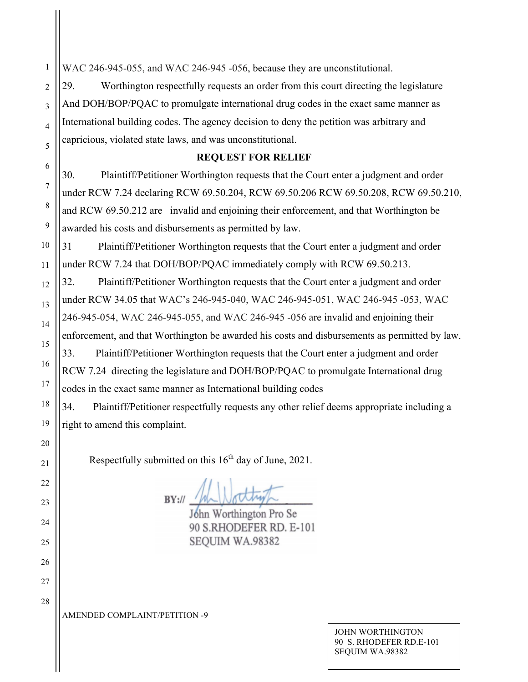WAC 246-945-055, and WAC 246-945-056, because they are unconstitutional.

29. Worthington respectfully requests an order from this court directing the legislature And DOH/BOP/PQAC to promulgate international drug codes in the exact same manner as International building codes. The agency decision to deny the petition was arbitrary and capricious, violated state laws, and was unconstitutional.

## **REQUEST FOR RELIEF**

30. Plaintiff/Petitioner Worthington requests that the Court enter a judgment and order under RCW 7.24 declaring RCW 69.50.204, RCW 69.50.206 RCW 69.50.208, RCW 69.50.210, and RCW 69.50.212 are invalid and enjoining their enforcement, and that Worthington be awarded his costs and disbursements as permitted by law.

31 Plaintiff/Petitioner Worthington requests that the Court enter a judgment and order under RCW 7.24 that DOH/BOP/PQAC immediately comply with RCW 69.50.213.

32. Plaintiff/Petitioner Worthington requests that the Court enter a judgment and order under RCW 34.05 that WAC's 246-945-040, WAC 246-945-051, WAC 246-945 -053, WAC 246-945-054, WAC 246-945-055, and WAC 246-945 -056 are invalid and enjoining their enforcement, and that Worthington be awarded his costs and disbursements as permitted by law. 33. Plaintiff/Petitioner Worthington requests that the Court enter a judgment and order RCW 7.24 directing the legislature and DOH/BOP/PQAC to promulgate International drug codes in the exact same manner as International building codes

34. Plaintiff/Petitioner respectfully requests any other relief deems appropriate including a right to amend this complaint.

Respectfully submitted on this  $16<sup>th</sup>$  day of June, 2021.

 $BY:$ 

John Worthington Pro Se 90 S.RHODEFER RD. E-101 SEQUIM WA.98382

AMENDED COMPLAINT/PETITION -9

JOHN WORTHINGTON 90 S. RHODEFER RD.E-101 SEQUIM WA.98382